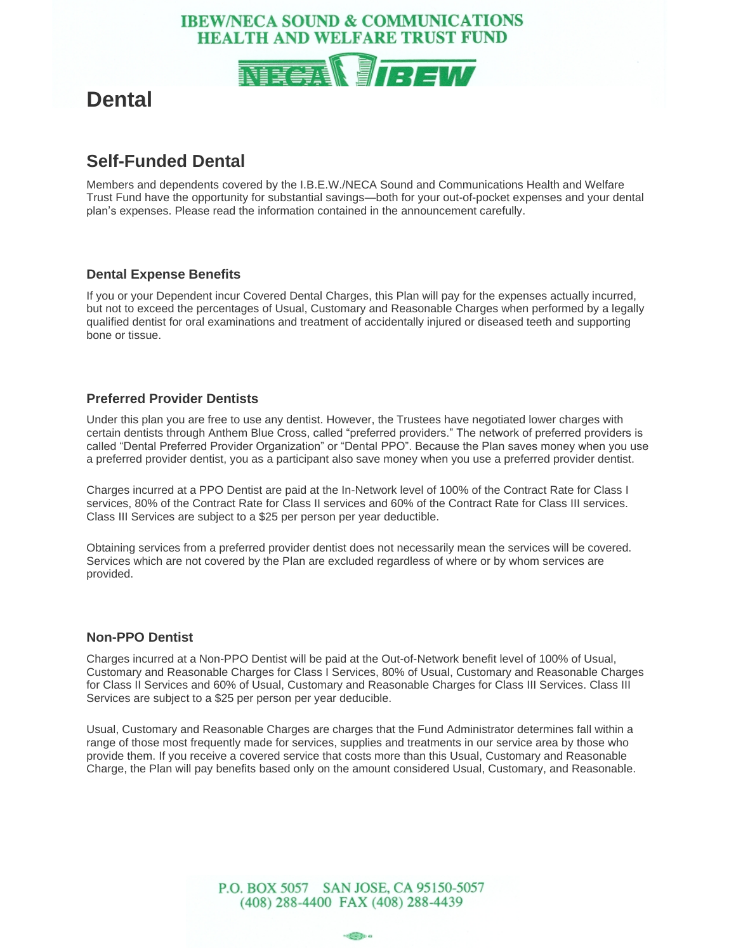# **IBEW/NECA SOUND & COMMUNICATIONS HEALTH AND WELFARE TRUST FUND**



# **Dental**

# **Self-Funded Dental**

Members and dependents covered by the I.B.E.W./NECA Sound and Communications Health and Welfare Trust Fund have the opportunity for substantial savings—both for your out-of-pocket expenses and your dental plan's expenses. Please read the information contained in the announcement carefully.

# **Dental Expense Benefits**

If you or your Dependent incur Covered Dental Charges, this Plan will pay for the expenses actually incurred, but not to exceed the percentages of Usual, Customary and Reasonable Charges when performed by a legally qualified dentist for oral examinations and treatment of accidentally injured or diseased teeth and supporting bone or tissue.

# **Preferred Provider Dentists**

Under this plan you are free to use any dentist. However, the Trustees have negotiated lower charges with certain dentists through Anthem Blue Cross, called "preferred providers." The network of preferred providers is called "Dental Preferred Provider Organization" or "Dental PPO". Because the Plan saves money when you use a preferred provider dentist, you as a participant also save money when you use a preferred provider dentist.

Charges incurred at a PPO Dentist are paid at the In-Network level of 100% of the Contract Rate for Class I services, 80% of the Contract Rate for Class II services and 60% of the Contract Rate for Class III services. Class III Services are subject to a \$25 per person per year deductible.

Obtaining services from a preferred provider dentist does not necessarily mean the services will be covered. Services which are not covered by the Plan are excluded regardless of where or by whom services are provided.

# **Non-PPO Dentist**

Charges incurred at a Non-PPO Dentist will be paid at the Out-of-Network benefit level of 100% of Usual, Customary and Reasonable Charges for Class I Services, 80% of Usual, Customary and Reasonable Charges for Class II Services and 60% of Usual, Customary and Reasonable Charges for Class III Services. Class III Services are subject to a \$25 per person per year deducible.

Usual, Customary and Reasonable Charges are charges that the Fund Administrator determines fall within a range of those most frequently made for services, supplies and treatments in our service area by those who provide them. If you receive a covered service that costs more than this Usual, Customary and Reasonable Charge, the Plan will pay benefits based only on the amount considered Usual, Customary, and Reasonable.

> P.O. BOX 5057 SAN JOSE, CA 95150-5057 (408) 288-4400 FAX (408) 288-4439

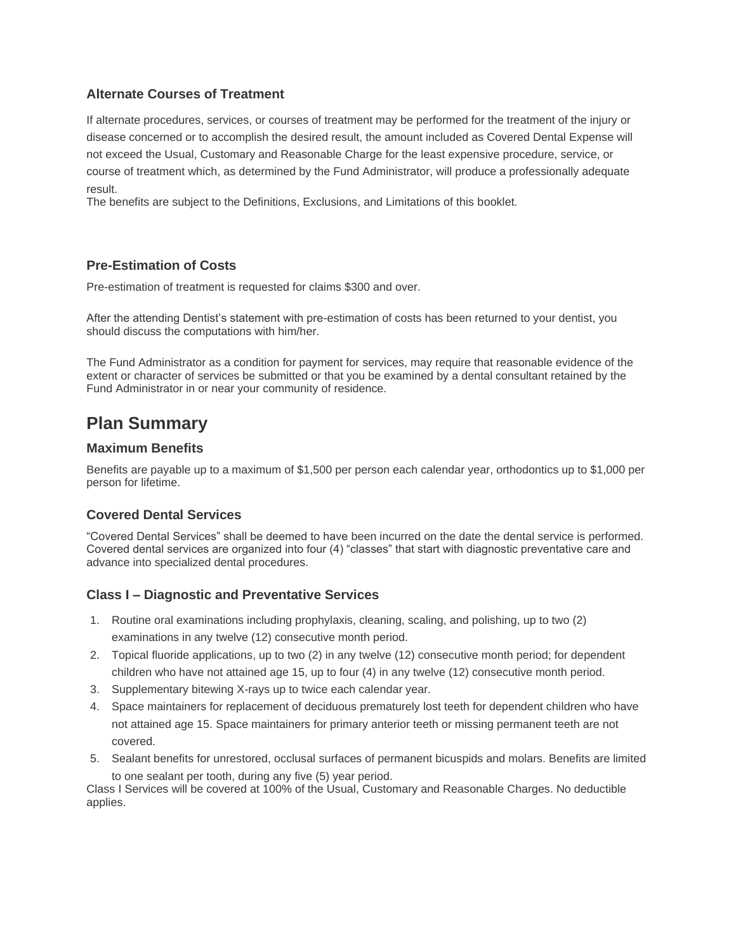### **Alternate Courses of Treatment**

If alternate procedures, services, or courses of treatment may be performed for the treatment of the injury or disease concerned or to accomplish the desired result, the amount included as Covered Dental Expense will not exceed the Usual, Customary and Reasonable Charge for the least expensive procedure, service, or course of treatment which, as determined by the Fund Administrator, will produce a professionally adequate result.

The benefits are subject to the Definitions, Exclusions, and Limitations of this booklet.

### **Pre-Estimation of Costs**

Pre-estimation of treatment is requested for claims \$300 and over.

After the attending Dentist's statement with pre-estimation of costs has been returned to your dentist, you should discuss the computations with him/her.

The Fund Administrator as a condition for payment for services, may require that reasonable evidence of the extent or character of services be submitted or that you be examined by a dental consultant retained by the Fund Administrator in or near your community of residence.

# **Plan Summary**

#### **Maximum Benefits**

Benefits are payable up to a maximum of \$1,500 per person each calendar year, orthodontics up to \$1,000 per person for lifetime.

#### **Covered Dental Services**

"Covered Dental Services" shall be deemed to have been incurred on the date the dental service is performed. Covered dental services are organized into four (4) "classes" that start with diagnostic preventative care and advance into specialized dental procedures.

# **Class I – Diagnostic and Preventative Services**

- 1. Routine oral examinations including prophylaxis, cleaning, scaling, and polishing, up to two (2) examinations in any twelve (12) consecutive month period.
- 2. Topical fluoride applications, up to two (2) in any twelve (12) consecutive month period; for dependent children who have not attained age 15, up to four (4) in any twelve (12) consecutive month period.
- 3. Supplementary bitewing X-rays up to twice each calendar year.
- 4. Space maintainers for replacement of deciduous prematurely lost teeth for dependent children who have not attained age 15. Space maintainers for primary anterior teeth or missing permanent teeth are not covered.
- 5. Sealant benefits for unrestored, occlusal surfaces of permanent bicuspids and molars. Benefits are limited to one sealant per tooth, during any five (5) year period.

Class I Services will be covered at 100% of the Usual, Customary and Reasonable Charges. No deductible applies.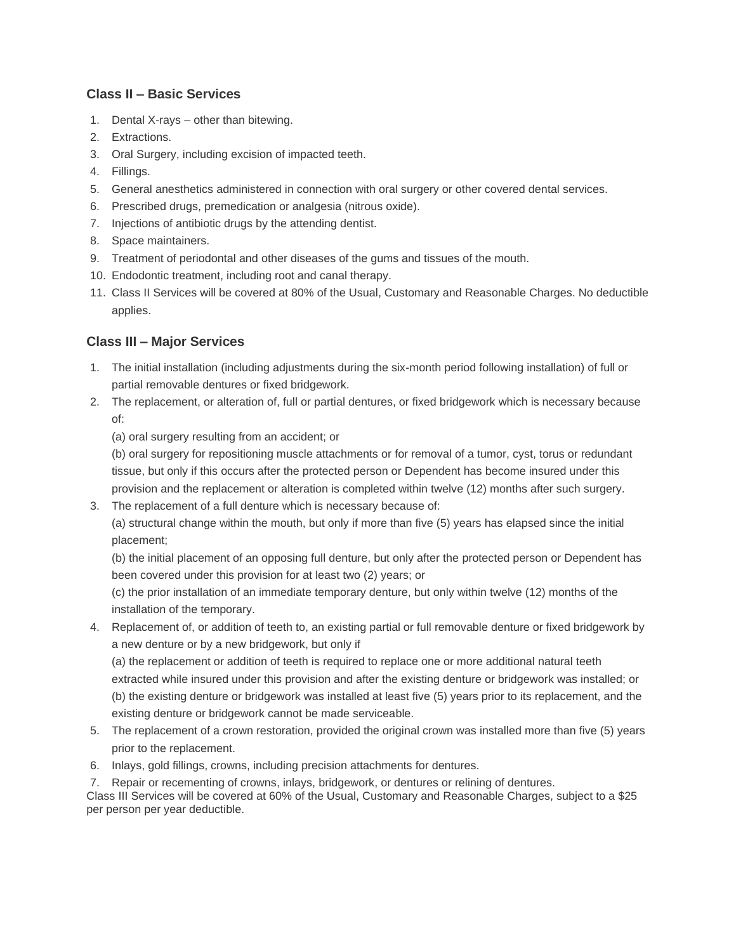# **Class II – Basic Services**

- 1. Dental X-rays other than bitewing.
- 2. Extractions.
- 3. Oral Surgery, including excision of impacted teeth.
- 4. Fillings.
- 5. General anesthetics administered in connection with oral surgery or other covered dental services.
- 6. Prescribed drugs, premedication or analgesia (nitrous oxide).
- 7. Injections of antibiotic drugs by the attending dentist.
- 8. Space maintainers.
- 9. Treatment of periodontal and other diseases of the gums and tissues of the mouth.
- 10. Endodontic treatment, including root and canal therapy.
- 11. Class II Services will be covered at 80% of the Usual, Customary and Reasonable Charges. No deductible applies.

# **Class III – Major Services**

- 1. The initial installation (including adjustments during the six-month period following installation) of full or partial removable dentures or fixed bridgework.
- 2. The replacement, or alteration of, full or partial dentures, or fixed bridgework which is necessary because of:

(a) oral surgery resulting from an accident; or

(b) oral surgery for repositioning muscle attachments or for removal of a tumor, cyst, torus or redundant tissue, but only if this occurs after the protected person or Dependent has become insured under this provision and the replacement or alteration is completed within twelve (12) months after such surgery.

3. The replacement of a full denture which is necessary because of:

(a) structural change within the mouth, but only if more than five (5) years has elapsed since the initial placement;

(b) the initial placement of an opposing full denture, but only after the protected person or Dependent has been covered under this provision for at least two (2) years; or

(c) the prior installation of an immediate temporary denture, but only within twelve (12) months of the installation of the temporary.

4. Replacement of, or addition of teeth to, an existing partial or full removable denture or fixed bridgework by a new denture or by a new bridgework, but only if

(a) the replacement or addition of teeth is required to replace one or more additional natural teeth extracted while insured under this provision and after the existing denture or bridgework was installed; or (b) the existing denture or bridgework was installed at least five (5) years prior to its replacement, and the existing denture or bridgework cannot be made serviceable.

- 5. The replacement of a crown restoration, provided the original crown was installed more than five (5) years prior to the replacement.
- 6. Inlays, gold fillings, crowns, including precision attachments for dentures.
- 7. Repair or recementing of crowns, inlays, bridgework, or dentures or relining of dentures.

Class III Services will be covered at 60% of the Usual, Customary and Reasonable Charges, subject to a \$25 per person per year deductible.